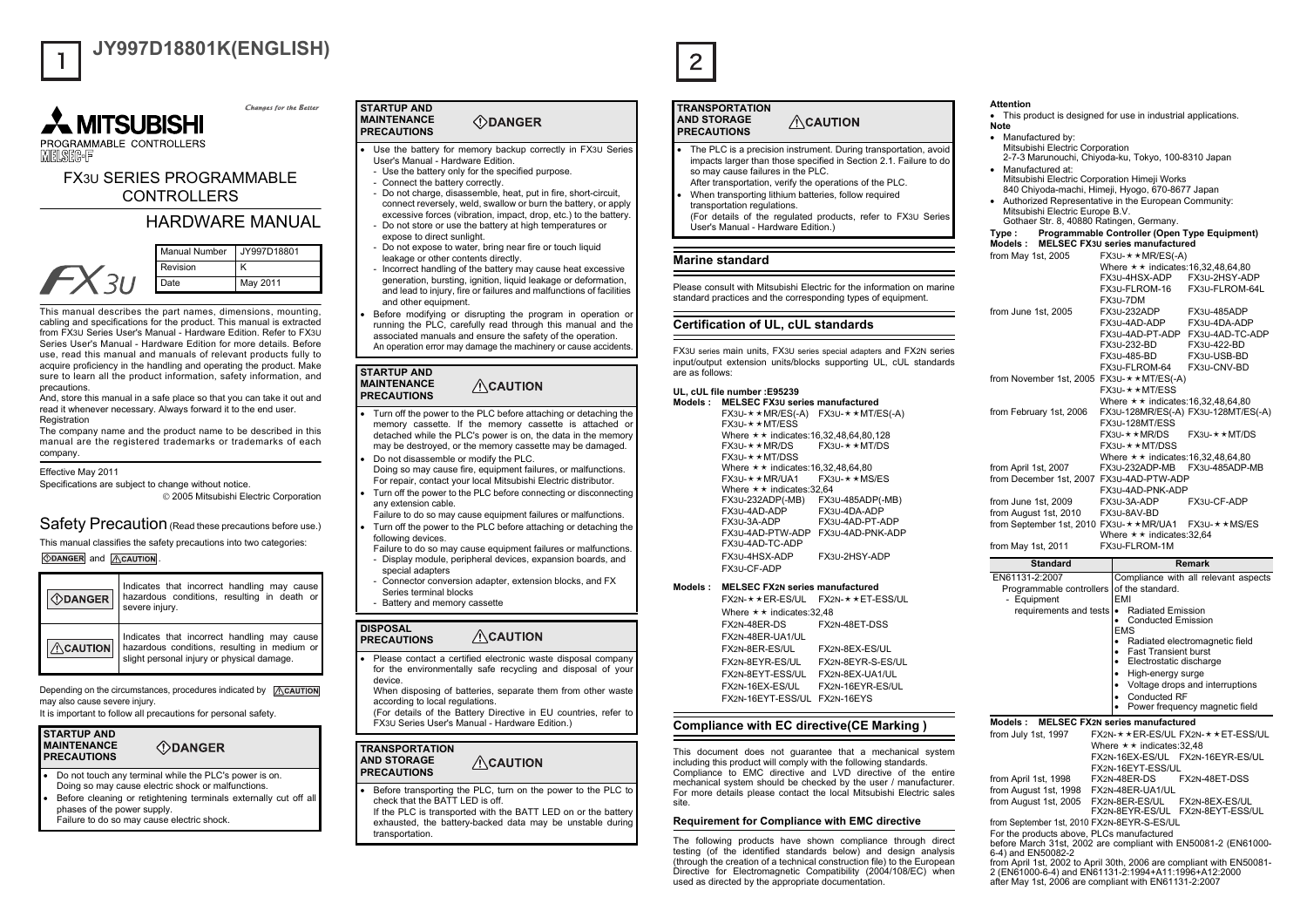

# **JY997D18801K(ENGLISH)**

Changes for the Retter



# FX3U SERIES PROGRAMMABLE **CONTROLLERS**

# HARDWARE MANUAL



This manual describes the part names, dimensions, mounting, cabling and specifications for the product. This manual is extracted from FX3U Series User's Manual - Hardware Edition. Refer to FX3U Series User's Manual - Hardware Edition for more details. Before use, read this manual and manuals of relevant products fully to acquire proficiency in the handling and operating the product. Make sure to learn all the product information, safety information, and precautions.

And, store this manual in a safe place so that you can take it out and read it whenever necessary. Always forward it to the end user. **Registration** 

The company name and the product name to be described in this manual are the registered trademarks or trademarks of each company.

Effective May 2011

Specifications are subject to change without notice. © 2005 Mitsubishi Electric Corporation

Safety Precaution (Read these precautions before use.)

This manual classifies the safety precautions into two categories:

*<u>ODANGER</u>* and **ACAUTION** 

| <b><i></i> ∴DANGER</b> | Indicates that incorrect handling may cause<br>hazardous conditions, resulting in death or<br>severe injury.                              |
|------------------------|-------------------------------------------------------------------------------------------------------------------------------------------|
| $\land$ CAUTION        | Indicates that incorrect handling may cause<br>hazardous conditions, resulting in medium or<br>slight personal injury or physical damage. |

Depending on the circumstances, procedures indicated by ACAUTION may also cause severe injury. It is important to follow all precautions for personal safety.



- • Do not touch any terminal while the PLC's power is on. Doing so may cause electric shock or malfunctions.
- • Before cleaning or retightening terminals externally cut off all phases of the power supply. Failure to do so may cause electric shock.

#### **STARTUP AND MAINTENANCE ODANGER PRECAUTIONS**

- • Use the battery for memory backup correctly in FX3U Series User's Manual - Hardware Edition.
	- Use the battery only for the specified purpose. - Connect the battery correctly.
	- Do not charge, disassemble, heat, put in fire, short-circuit, connect reversely, weld, swallow or burn the battery, or apply excessive forces (vibration, impact, drop, etc.) to the battery.
- Do not store or use the battery at high temperatures or expose to direct sunlight.
- Do not expose to water, bring near fire or touch liquid leakage or other contents directly.
- Incorrect handling of the battery may cause heat excessive generation, bursting, ignition, liquid leakage or deformation, and lead to injury, fire or failures and malfunctions of facilities and other equipment.
- Before modifying or disrupting the program in operation or running the PLC, carefully read through this manual and the associated manuals and ensure the safety of the operation. An operation error may damage the machinery or cause accidents.

#### **STARTUP AND MAINTENANCE**  $\triangle$ CAUTION **PRECAUTIONS**

•

•

- • Turn off the power to the PLC before attaching or detaching the memory cassette. If the memory cassette is attached or detached while the PLC's power is on, the data in the memory may be destroyed, or the memory cassette may be damaged.
- Do not disassemble or modify the PLC. Doing so may cause fire, equipment failures, or malfunctions. For repair, contact your local Mitsubishi Electric distributor.
- • Turn off the power to the PLC before connecting or disconnecting any extension cable.
- Failure to do so may cause equipment failures or malfunctions. • Turn off the power to the PLC before attaching or detaching the following devices.
- Failure to do so may cause equipment failures or malfunctions. - Display module, peripheral devices, expansion boards, and
- special adapters Connector conversion adapter, extension blocks, and FX Series terminal blocks
- Battery and memory cassette

#### **DISPOSAL**  $\triangle$ CAUTION **PRECAUTIONS**

- • Please contact a certified electronic waste disposal company for the environmentally safe recycling and disposal of your device.
	- When disposing of batteries, separate them from other waste according to local regulations.

 $\triangle$ CAUTION

(For details of the Battery Directive in EU countries, refer to FX3U Series User's Manual - Hardware Edition.)

#### **TRANSPORTATION AND STORAGE PRECAUTIONS**

•

- Before transporting the PLC, turn on the power to the PLC to check that the BATT LED is off.
- If the PLC is transported with the BATT LED on or the battery exhausted, the battery-backed data may be unstable during transportation



•

# **ACAUTION PRECAUTIONS**

- • The PLC is a precision instrument. During transportation, avoid impacts larger than those specified in Section 2.1. Failure to do so may cause failures in the PLC.
- After transportation, verify the operations of the PLC. When transporting lithium batteries, follow required
- transportation regulations. (For details of the regulated products, refer to FX3U Series User's Manual - Hardware Edition.)

# **Marine standard**

Please consult with Mitsubishi Electric for the information on marinestandard practices and the corresponding types of equipment.

## **Certification of UL, cUL standards**

FX3U series main units, FX3U series special adapters and FX2N series input/output extension units/blocks supporting UL, cUL standards are as follows:

## **UL, cUL file number :E95239**

**Models : MELSEC FX3U series manufactured** $FX3U-**MR/ES(-A)$   $FX3U-**MT/ES(-A)$  $FX3U-\star\star MT/ESS$ Where  $\star \star$  indicates:16,32,48,64,80,128  $FX3U+X+MR/DS$   $FX3U+X+MT/DS$  $FX3U \star$  $\star$ MT/DSS Where  $\star\star$  indicates:16,32,48,64,80 FX3U- $\star\star$ MR/UA1 FX3U- $\star\star$ MS/ES Where  $\star \star$  indicates:32,64 FX3U-232ADP(-MB) FX3U-485ADP(-MB) FX3U-4DA-ADP FX3U-3A-ADP FX3U-4AD-PT-ADP FX3U-4AD-PTW-ADP FX3U-4AD-PNK-ADPFX3U-4AD-TC-ADPFX3U-4HSX-ADP FX3U-2HSY-ADPFX3U-CF-ADP

**Models : MELSEC FX2N series manufactured**FX2N-★★ER-ES/UL FX2N-★★ET-ESS/UL Where  $\star \star$  indicates:32.48 FX2N-48ER-DS FX2N-48ET-DSSFX2N-48ER-UA1/ULFX2N-8ER-ES/UL FX2N-8EX-ES/ULFX2N-8EYR-ES/UL FX2N-8EYR-S-ES/ULFX2N-8EYT-ESS/UL FX2N-8EX-UA1/ULFX2N-16EX-ES/UL FX2N-16EYR-ES/UL

## **Compliance with EC directive(CE Marking )**

FX2N-16EYT-ESS/UL FX2N-16EYS

This document does not guarantee that a mechanical system including this product will comply with the following standards. Compliance to EMC directive and LVD directive of the entire mechanical system should be checked by the user / manufacturer. For more details please contact the local Mitsubishi Electric sales site.

## **Requirement for Compliance with EMC directive**

The following products have shown compliance through direct testing (of the identified standards below) and design analysis (through the creation of a technical construction file) to the European Directive for Electromagnetic Compatibility (2004/108/EC) when used as directed by the appropriate documentation.

## **Attention**

- This product is designed for use in industrial applications. **Note**
- Manufactured by: Mitsubishi Electric Corporation 2-7-3 Marunouchi, Chiyoda-ku, Tokyo, 100-8310 Japan
- Manufactured at: Mitsubishi Electric Corporation Himeji Works 840 Chiyoda-machi, Himeji, Hyogo, 670-8677 Japan
- Authorized Representative in the European Community: Mitsubishi Electric Europe B.V. Gothaer Str. 8, 40880 Ratingen, Germany.

## **Type : Programmable Controller (Open Type Equipment)**

| <b>Models :</b>                                       |                                                             | <b>MELSEC FX3U series manufactured</b>                |                                        |  |
|-------------------------------------------------------|-------------------------------------------------------------|-------------------------------------------------------|----------------------------------------|--|
| from May 1st, 2005                                    | $FX3U-$ * $\star$ MR/ES(-A)                                 |                                                       |                                        |  |
|                                                       | Where $\star \star$ indicates: 16, 32, 48, 64, 80           |                                                       |                                        |  |
|                                                       |                                                             | FX3U-4HSX-ADP                                         | FX3U-2HSY-ADP                          |  |
|                                                       |                                                             | FX3U-FLROM-16                                         | FX3U-FLROM-64L                         |  |
|                                                       |                                                             | FX3U-7DM                                              |                                        |  |
| from June 1st, 2005                                   |                                                             | FX3U-232ADP                                           | FX3U-485ADP                            |  |
|                                                       |                                                             | FX3U-4AD-ADP                                          | FX3U-4DA-ADP                           |  |
|                                                       |                                                             | FX3U-4AD-PT-ADP                                       | FX3U-4AD-TC-ADP                        |  |
|                                                       |                                                             | FX3U-232-BD                                           | FX3U-422-BD                            |  |
|                                                       |                                                             | FX3U-485-BD                                           | FX3U-USB-BD                            |  |
|                                                       |                                                             | FX3U-FLROM-64                                         | FX3U-CNV-BD                            |  |
| from November 1st, 2005 FX3U- $\star \star$ MT/ES(-A) |                                                             |                                                       |                                        |  |
|                                                       |                                                             | FX3U-★★MT/ESS                                         |                                        |  |
|                                                       |                                                             | Where $\star \star$ indicates: 16, 32, 48, 64, 80     |                                        |  |
|                                                       |                                                             |                                                       | FX3U-128MR/ES(-A) FX3U-128MT/ES(-A)    |  |
| from February 1st, 2006                               |                                                             |                                                       |                                        |  |
|                                                       |                                                             | FX3U-128MT/ESS                                        |                                        |  |
|                                                       |                                                             | FX3U-**MR/DS                                          | FX3U-**MT/DS                           |  |
|                                                       |                                                             | FX3U-★★MT/DSS                                         |                                        |  |
|                                                       |                                                             | Where $\star \star$ indicates:16,32,48,64,80          |                                        |  |
| from April 1st, 2007                                  |                                                             | FX3U-232ADP-MB                                        | FX3U-485ADP-MB                         |  |
| from December 1st, 2007 FX3U-4AD-PTW-ADP              |                                                             |                                                       |                                        |  |
|                                                       |                                                             | FX3U-4AD-PNK-ADP                                      |                                        |  |
| from June 1st, 2009                                   |                                                             | FX3U-3A-ADP                                           | FX3U-CF-ADP                            |  |
| from August 1st, 2010                                 |                                                             | FX3U-8AV-BD                                           |                                        |  |
|                                                       | from September 1st, 2010 FX3U- * * MR/UA1<br>$FX3U+**MS/ES$ |                                                       |                                        |  |
|                                                       |                                                             |                                                       |                                        |  |
|                                                       |                                                             | Where $\star \star$ indicates: 32.64                  |                                        |  |
| from May 1st, 2011                                    |                                                             | FX3U-FLROM-1M                                         |                                        |  |
| <b>Standard</b>                                       |                                                             |                                                       | Remark                                 |  |
|                                                       |                                                             |                                                       |                                        |  |
| EN61131-2:2007                                        |                                                             |                                                       | Compliance with all relevant aspects   |  |
| Programmable controllers                              |                                                             | of the standard.<br>EMI                               |                                        |  |
| - Equipment                                           |                                                             |                                                       |                                        |  |
| requirements and tests                                |                                                             | <b>Radiated Emission</b><br><b>Conducted Emission</b> |                                        |  |
|                                                       |                                                             | <b>EMS</b>                                            |                                        |  |
|                                                       |                                                             | ٠                                                     | Radiated electromagnetic field         |  |
|                                                       |                                                             | <b>Fast Transient burst</b>                           |                                        |  |
|                                                       |                                                             | Electrostatic discharge                               |                                        |  |
|                                                       |                                                             | High-energy surge                                     |                                        |  |
|                                                       |                                                             |                                                       | Voltage drops and interruptions        |  |
|                                                       |                                                             | <b>Conducted RF</b>                                   |                                        |  |
|                                                       |                                                             |                                                       | Power frequency magnetic field         |  |
| Models :                                              |                                                             | <b>MELSEC FX2N series manufactured</b>                |                                        |  |
|                                                       |                                                             |                                                       | FX2N- * * ER-ES/UL FX2N- * * ET-ESS/UL |  |
| from July 1st, 1997                                   |                                                             |                                                       |                                        |  |
|                                                       |                                                             | Where $\star \star$ indicates: 32,48                  |                                        |  |
|                                                       |                                                             | FX2N-16EX-ES/UL                                       | FX2N-16EYR-ES/UL                       |  |
|                                                       |                                                             | FX2N-16EYT-ESS/UL                                     |                                        |  |
| from April 1st, 1998                                  |                                                             | FX2N-48ER-DS                                          | FX2N-48ET-DSS                          |  |
| from August 1st, 1998<br>from August 1st, 2005        |                                                             | FX2N-48ER-UA1/UL<br>FX2N-8ER-ES/UL                    | FX2N-8EX-ES/UL                         |  |

from September 1st, 2010 FX2N-8EYR-S-ES/UL For the products above, PLCs manufactured before March 31st, 2002 are compliant with EN50081-2 (EN61000- 6-4) and EN50082-2 from April 1st, 2002 to April 30th, 2006 are compliant with EN50081- 2 (EN61000-6-4) and EN61131-2:1994+A11:1996+A12:2000 after May 1st, 2006 are compliant with EN61131-2:2007

**TRANSPORTATION AND STORAGE**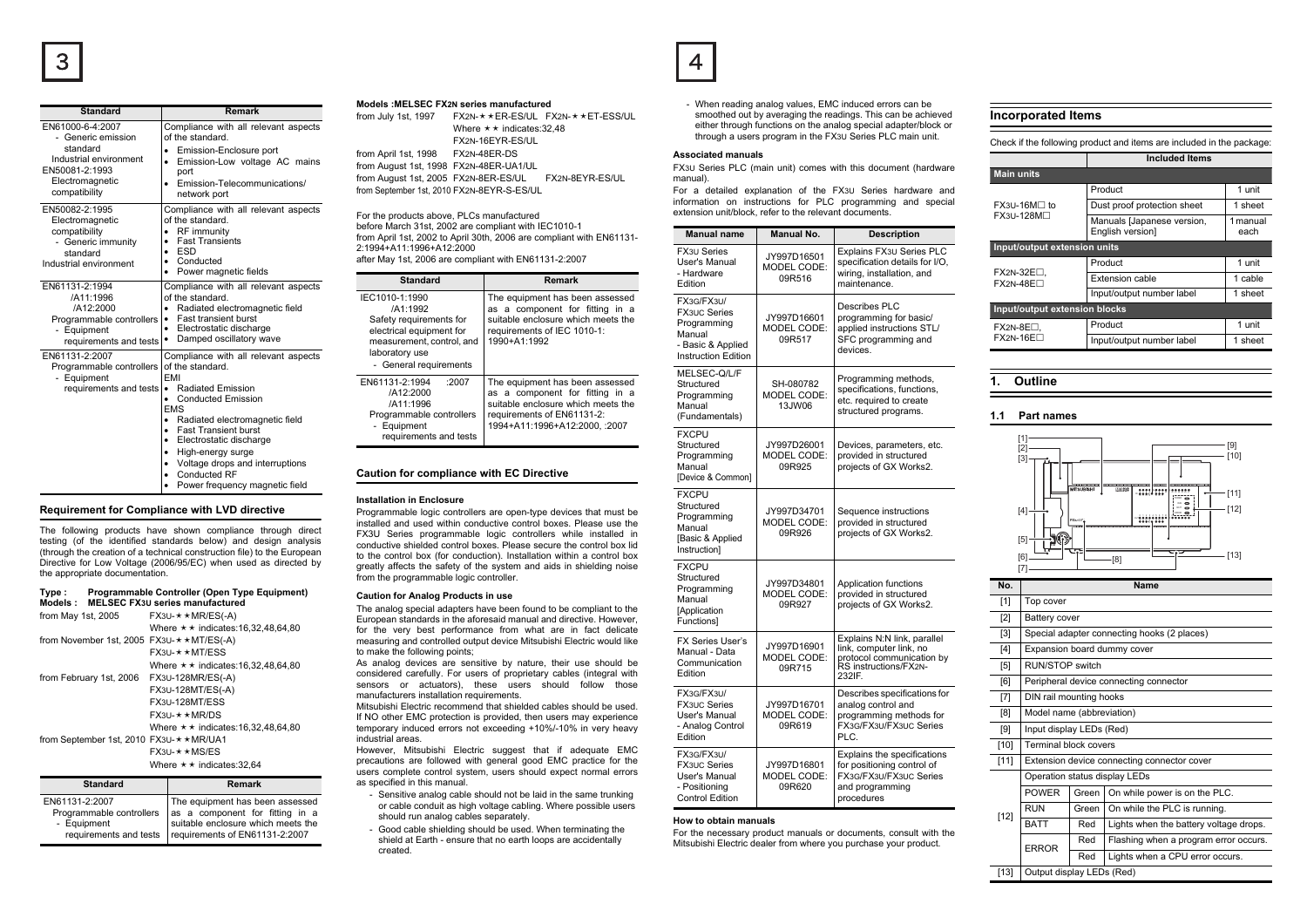| Standard                                                                                                                           | Remark                                                                                                                                                                                                                                                                                                                                                           |
|------------------------------------------------------------------------------------------------------------------------------------|------------------------------------------------------------------------------------------------------------------------------------------------------------------------------------------------------------------------------------------------------------------------------------------------------------------------------------------------------------------|
| EN61000-6-4:2007<br>- Generic emission<br>standard<br>Industrial environment<br>EN50081-2:1993<br>Electromagnetic<br>compatibility | Compliance with all relevant aspects<br>of the standard.<br>Emission-Enclosure port<br>Emission-Low voltage AC mains<br>port<br>Emission-Telecommunications/<br>٠<br>network port                                                                                                                                                                                |
| EN50082-2:1995<br>Electromagnetic<br>compatibility<br>- Generic immunity<br>standard<br>Industrial environment                     | Compliance with all relevant aspects<br>of the standard.<br>RF immunity<br>$\bullet$<br><b>Fast Transients</b><br>$\bullet$<br>ESD<br>٠<br>Conducted<br>$\bullet$<br>Power magnetic fields                                                                                                                                                                       |
| EN61131-2:1994<br>/A11:1996<br>/A12:2000<br>Programmable controllers<br>- Equipment<br>requirements and tests                      | Compliance with all relevant aspects<br>of the standard.<br>Radiated electromagnetic field<br><b>Fast transient burst</b><br>Electrostatic discharge<br>Damped oscillatory wave                                                                                                                                                                                  |
| EN61131-2:2007<br>Programmable controllers<br>- Equipment<br>requirements and tests                                                | Compliance with all relevant aspects<br>of the standard.<br><b>FMI</b><br>Radiated Emission<br><b>Conducted Emission</b><br><b>EMS</b><br>Radiated electromagnetic field<br>٠<br><b>Fast Transient burst</b><br>٠<br>Electrostatic discharge<br>٠<br>High-energy surge<br>٠<br>Voltage drops and interruptions<br>Conducted RF<br>Power frequency magnetic field |

## **Requirement for Compliance with LVD directive**

The following products have shown compliance through direct testing (of the identified standards below) and design analysis (through the creation of a technical construction file) to the European Directive for Low Voltage (2006/95/EC) when used as directed by the appropriate documentation.

| Type:<br>Models :                                     | Programmable Controller (Open Type Equipment)<br><b>MELSEC FX3U series manufactured</b> |
|-------------------------------------------------------|-----------------------------------------------------------------------------------------|
| from May 1st, 2005                                    | $FX3U-$ * $\star$ MR/ES(-A)                                                             |
|                                                       | Where $\star \star$ indicates: 16.32.48.64.80                                           |
| from November 1st, 2005 FX3U- $\star \star MT/ES(-A)$ |                                                                                         |
|                                                       | $FX31 - \star \star MT/FSS$                                                             |
|                                                       | Where $\star \star$ indicates: 16.32.48.64.80                                           |
| from February 1st, 2006                               | FX3U-128MR/ES(-A)                                                                       |
|                                                       | FX3U-128MT/ES(-A)                                                                       |
|                                                       | FX3U-128MT/ESS                                                                          |
|                                                       | $FX3U+ \star \star MR/DS$                                                               |
|                                                       | Where $\star \star$ indicates: 16.32.48.64.80                                           |
| from September 1st, 2010 FX3U- * ★ MR/UA1             |                                                                                         |
|                                                       | $FX3U \rightarrow \star MSS/ES$                                                         |
|                                                       | Where $\star \star$ indicates: 32.64                                                    |

| <b>Standard</b> |                | Remark                                                                                                                                                                                                 |
|-----------------|----------------|--------------------------------------------------------------------------------------------------------------------------------------------------------------------------------------------------------|
|                 | EN61131-2:2007 | The equipment has been assessed<br>Programmable controllers as a component for fitting in a<br>- Equipment suitable enclosure which meets the<br>requirements and tests requirements of EN61131-2:2007 |

## **Models :MELSEC FX2N series manufactured**

from July 1st, 1997 FX2N- $\star\star$ ER-ES/UL FX2N- $\star\star$ ET-ESS/UL Where  $\star \star$  indicates:32.48 FX2N-16EYR-ES/ULfrom April 1st, 1998 FX2N-48ER-DS from August 1st, 1998 FX2N-48ER-UA1/UL from August 1st, 2005 FX2N-8ER-ES/UL FX2N-8EYR-ES/UL from September 1st, 2010 FX2N-8EYR-S-ES/UL

For the products above, PLCs manufactured before March 31st, 2002 are compliant with IEC1010-1 from April 1st, 2002 to April 30th, 2006 are compliant with EN61131- 2:1994+A11:1996+A12:2000after May 1st, 2006 are compliant with EN61131-2:2007

| <b>Standard</b>                                                                                                                                            | Remark                                                                                                                                                                   |  |
|------------------------------------------------------------------------------------------------------------------------------------------------------------|--------------------------------------------------------------------------------------------------------------------------------------------------------------------------|--|
| IEC1010-1:1990<br>/A1:1992<br>Safety requirements for<br>electrical equipment for<br>measurement, control, and<br>laboratory use<br>- General requirements | The equipment has been assessed<br>as a component for fitting in a<br>suitable enclosure which meets the<br>requirements of IEC 1010-1:<br>1990+A1:1992                  |  |
| :2007<br>EN61131-2:1994<br>/A12:2000<br>/A11:1996<br>Programmable controllers<br>- Equipment<br>requirements and tests                                     | The equipment has been assessed<br>as a component for fitting in a<br>suitable enclosure which meets the<br>requirements of EN61131-2:<br>1994+A11:1996+A12:2000. : 2007 |  |

## **Caution for compliance with EC Directive**

#### **Installation in Enclosure**

 $\sim$ 

created.

Programmable logic controllers are open-type devices that must be installed and used within conductive control boxes. Please use the FX3U Series programmable logic controllers while installed in conductive shielded control boxes. Please secure the control box lid to the control box (for conduction). Installation within a control box greatly affects the safety of the system and aids in shielding noise from the programmable logic controller.

#### **Caution for Analog Products in use**

The analog special adapters have been found to be compliant to the European standards in the aforesaid manual and directive. However, for the very best performance from what are in fact delicate measuring and controlled output device Mitsubishi Electric would like to make the following points;

As analog devices are sensitive by nature, their use should be considered carefully. For users of proprietary cables (integral with sensors or actuators), these users should follow those manufacturers installation requirements.

Mitsubishi Electric recommend that shielded cables should be used.If NO other EMC protection is provided, then users may experience temporary induced errors not exceeding +10%/-10% in very heavy industrial areas.

 However, Mitsubishi Electric suggest that if adequate EMC precautions are followed with general good EMC practice for the users complete control system, users should expect normal errors as specified in this manual.

- Sensitive analog cable should not be laid in the same trunking or cable conduit as high voltage cabling. Where possible users should run analog cables separately.
- Good cable shielding should be used. When terminating the shield at Earth - ensure that no earth loops are accidentally

- When reading analog values, EMC induced errors can be smoothed out by averaging the readings. This can be achieved either through functions on the analog special adapter/block or through a users program in the FX3U Series PLC main unit.

#### **Associated manuals**

 FX3U Series PLC (main unit) comes with this document (hardware manual).

For a detailed explanation of the FX3U Series hardware and information on instructions for PLC programming and special extension unit/block, refer to the relevant documents.

| <b>Manual name</b>                                                                                            | <b>Manual No.</b>                           | <b>Description</b>                                                                                                     |  |  |
|---------------------------------------------------------------------------------------------------------------|---------------------------------------------|------------------------------------------------------------------------------------------------------------------------|--|--|
| <b>FX3U Series</b><br>User's Manual<br>- Hardware<br>Edition                                                  | JY997D16501<br>MODEL CODE:<br>09R516        | Explains FX3U Series PLC<br>specification details for I/O,<br>wiring, installation, and<br>maintenance.                |  |  |
| FX3G/FX3U/<br><b>FX3UC Series</b><br>Programming<br>Manual<br>- Basic & Applied<br><b>Instruction Edition</b> | JY997D16601<br>MODEL CODE:<br>09R517        | Describes PLC<br>programming for basic/<br>applied instructions STL/<br>SFC programming and<br>devices.                |  |  |
| MELSEC-Q/L/F<br>Structured<br>Programming<br>Manual<br>(Fundamentals)                                         | SH-080782<br>MODEL CODE:<br>13JW06          | Programming methods,<br>specifications, functions,<br>etc. required to create<br>structured programs.                  |  |  |
| <b>FXCPU</b><br>Structured<br>Programming<br>Manual<br>[Device & Common]                                      | JY997D26001<br>MODEL CODE:<br>09R925        | Devices, parameters, etc.<br>provided in structured<br>projects of GX Works2.                                          |  |  |
| <b>FXCPU</b><br>Structured<br>Programming<br>Manual<br>[Basic & Applied<br>Instruction]                       | JY997D34701<br><b>MODEL CODE:</b><br>09R926 | Sequence instructions<br>provided in structured<br>projects of GX Works2.                                              |  |  |
| <b>FXCPU</b><br>Structured<br>Programming<br>Manual<br><b>[Application</b><br>Functions1                      | JY997D34801<br><b>MODEL CODE:</b><br>09R927 | Application functions<br>provided in structured<br>projects of GX Works2.                                              |  |  |
| <b>FX Series User's</b><br>Manual - Data<br>Communication<br>Edition                                          | JY997D16901<br>MODEL CODE:<br>09R715        | Explains N:N link, parallel<br>link, computer link, no<br>protocol communication by<br>RS instructions/FX2N-<br>232IF. |  |  |
| FX3G/FX3U/<br><b>FX3UC Series</b><br>User's Manual<br>- Analog Control<br>Edition                             | JY997D16701<br>MODEL CODE:<br>09R619        | Describes specifications for<br>analog control and<br>programming methods for<br>FX3G/FX3U/FX3UC Series<br>PLC.        |  |  |
| FX3G/FX3U/<br><b>FX3UC Series</b><br>User's Manual<br>- Positionina<br><b>Control Edition</b>                 | JY997D16801<br>MODEL CODE:<br>09R620        | Explains the specifications<br>for positioning control of<br>FX3G/FX3U/FX3UC Series<br>and programming<br>procedures   |  |  |

#### **How to obtain manuals**

For the necessary product manuals or documents, consult with the Mitsubishi Electric dealer from where you purchase your product.

## **Incorporated Items**

Check if the following product and items are included in the package:

|                               | <b>Included Items</b>                          |                  |  |  |
|-------------------------------|------------------------------------------------|------------------|--|--|
| <b>Main units</b>             |                                                |                  |  |  |
|                               | Product                                        | 1 unit           |  |  |
| $FX3U-16M \Box$ to            | Dust proof protection sheet                    | 1 sheet          |  |  |
| FX3U-128M□                    | Manuals [Japanese version,<br>English version] | 1 manual<br>each |  |  |
| Input/output extension units  |                                                |                  |  |  |
|                               | Product                                        | 1 unit           |  |  |
| FX2N-32E□.<br>$FX2N-48F$      | Extension cable                                | 1 cable          |  |  |
|                               | Input/output number label                      | 1 sheet          |  |  |
| Input/output extension blocks |                                                |                  |  |  |
| $FX2N-8E\Box$ .               | Product                                        | 1 unit           |  |  |
| $FX2N-16E$                    | Input/output number label                      | 1 sheet          |  |  |

#### **1. Outline**



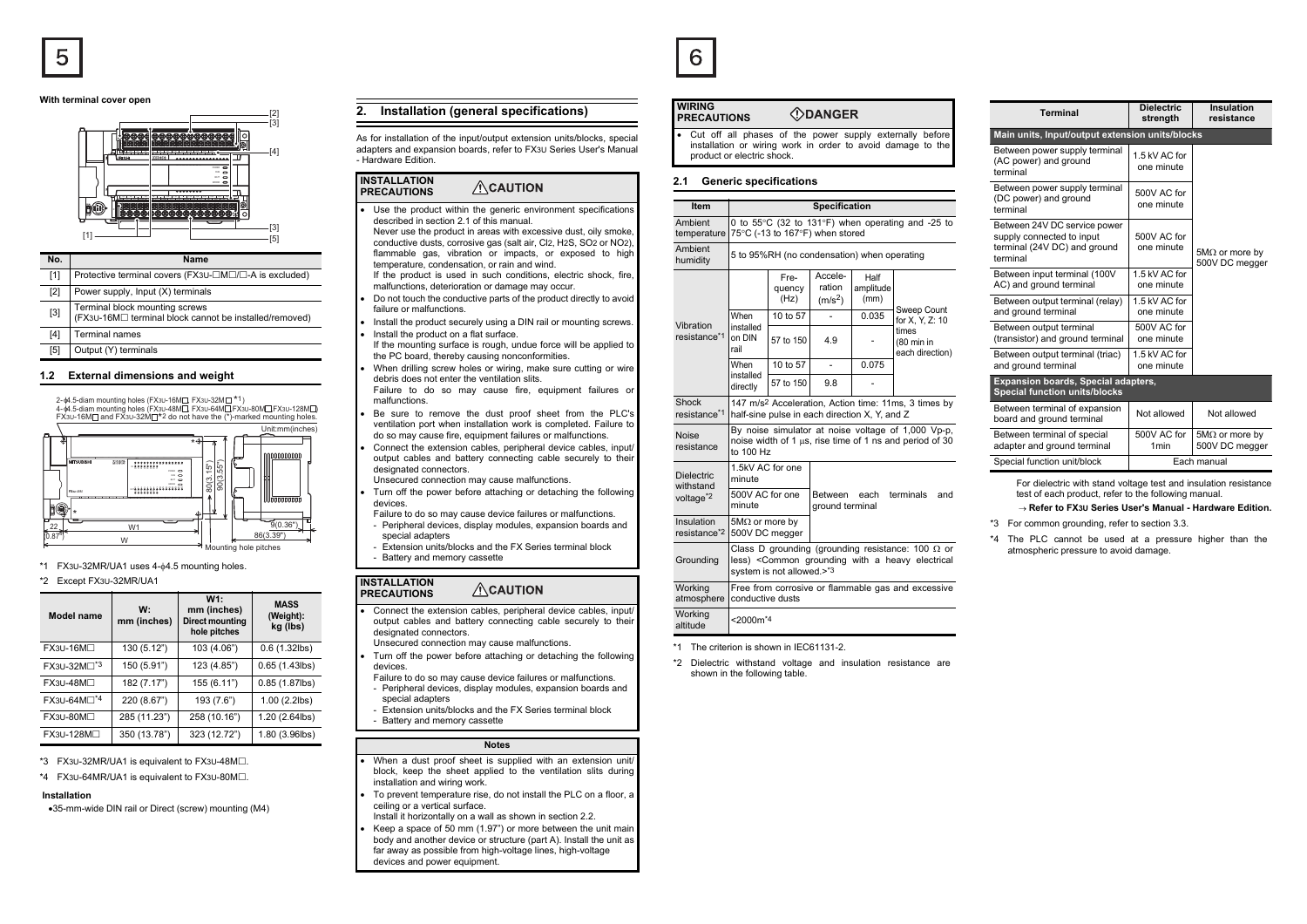#### **With terminal cover open**



| No.   | Name                                                                                     |
|-------|------------------------------------------------------------------------------------------|
| [1]   | Protective terminal covers (FX3U-□M□/□-A is excluded)                                    |
| [2]   | Power supply, Input (X) terminals                                                        |
| $[3]$ | Terminal block mounting screws<br>(FX3∪-16M□ terminal block cannot be installed/removed) |
| [4]   | <b>Terminal names</b>                                                                    |
| [5]   | Output (Y) terminals                                                                     |

### **1.2 External dimensions and weight**

2-ቀ4.5-diam mounting holes (FX3∪-16M⊟, FX3∪-32M⊟ \*1)  $4-44.5-4$  mounting holes (FX3U-48M $\Box$ , FX3U-64M $\Box$ FX3U-80M $\Box$ FX3U-128M $\Box$ )



### \*1 FX3U-32MR/UA1 uses 4-φ4.5 mounting holes.

#### \*2 Except FX3U-32MR/UA1

| Model name              | W:<br>mm (inches) | W1:<br>mm (inches)<br>Direct mounting<br>hole pitches | <b>MASS</b><br>(Weight):<br>kg (lbs) |
|-------------------------|-------------------|-------------------------------------------------------|--------------------------------------|
| FX3U-16M□               | 130 (5.12")       | 103 (4.06")                                           | $0.6(1.32$ lbs)                      |
| FX3U-32M□ <sup>*3</sup> | 150 (5.91")       | 123 (4.85")                                           | $0.65(1.43$ lbs)                     |
| $FX3U-48M\Box$          | 182 (7.17")       | 155 (6.11")                                           | 0.85 (1.87lbs)                       |
| FX3U-64M□*4             | 220 (8.67")       | 193 (7.6")                                            | $1.00$ (2.2lbs)                      |
| FX3U-80M <sub>D</sub>   | 285 (11.23")      | 258 (10.16")                                          | 1.20 (2.64lbs)                       |
| FX3U-128M□              | 350 (13.78")      | 323 (12.72")                                          | 1.80 (3.96lbs)                       |

## \*3  $FX3U-32MR/UA1$  is equivalent to  $FX3U-48M\square$ .

 $*4$  FX3U-64MR/UA1 is equivalent to FX3U-80M $\Box$ .

## **Installation**

•35-mm-wide DIN rail or Direct (screw) mounting (M4)

## **2. Installation (general specifications)**

As for installation of the input/output extension units/blocks, special adapters and expansion boards, refer to FX3U Series User's Manual - Hardware Edition.

#### **INSTALLATION**  $\triangle$ CAUTION **PRECAUTIONS**

•

•

•

•

- Use the product within the generic environment specifications described in section 2.1 of this manual.
- Never use the product in areas with excessive dust, oily smoke, conductive dusts, corrosive gas (salt air, Cl2, H2S, SO2 or NO2), flammable gas, vibration or impacts, or exposed to high temperature, condensation, or rain and wind.
- If the product is used in such conditions, electric shock, fire, malfunctions, deterioration or damage may occur.
- Do not touch the conductive parts of the product directly to avoid failure or malfunctions.
- • Install the product securely using a DIN rail or mounting screws. Install the product on a flat surface.
- If the mounting surface is rough, undue force will be applied to the PC board, thereby causing nonconformities.
- • When drilling screw holes or wiring, make sure cutting or wire debris does not enter the ventilation slits.
- Failure to do so may cause fire, equipment failures or malfunctions.
- Be sure to remove the dust proof sheet from the PLC's ventilation port when installation work is completed. Failure to do so may cause fire, equipment failures or malfunctions.
- • Connect the extension cables, peripheral device cables, input/ output cables and battery connecting cable securely to their designated connectors.
- Unsecured connection may cause malfunctions.
- • Turn off the power before attaching or detaching the following devices.
	- Failure to do so may cause device failures or malfunctions. - Peripheral devices, display modules, expansion boards and
- special adapters Extension units/blocks and the FX Series terminal block
- Battery and memory cassette

#### **INSTALLATION**  $\triangle$ CAUTION **PRECAUTIONS**

• Connect the extension cables, peripheral device cables, input/ output cables and battery connecting cable securely to their designated connectors.

Unsecured connection may cause malfunctions.

- • Turn off the power before attaching or detaching the following devices.
- Failure to do so may cause device failures or malfunctions.
- Peripheral devices, display modules, expansion boards and special adapters
- Extension units/blocks and the FX Series terminal block- Battery and memory cassette

#### **Notes**

- When a dust proof sheet is supplied with an extension unit/ block, keep the sheet applied to the ventilation slits during installation and wiring work.
- To prevent temperature rise, do not install the PLC on a floor, a ceiling or a vertical surface.
- Install it horizontally on a wall as shown in section 2.2.
- • Keep a space of 50 mm (1.97") or more between the unit main body and another device or structure (part A). Install the unit as far away as possible from high-voltage lines, high-voltage devices and power equipment.

|  | .,<br>v |  |
|--|---------|--|
|--|---------|--|

#### **WIRING** *ODANGER* **PRECAUTIONS**

• Cut off all phases of the power supply externally before installation or wiring work in order to avoid damage to the product or electric shock.

## **2.1 Generic specifications**

| Item                                   | <b>Specification</b>                                                                                                                      |                        |                                                     |                           |                                        |  |
|----------------------------------------|-------------------------------------------------------------------------------------------------------------------------------------------|------------------------|-----------------------------------------------------|---------------------------|----------------------------------------|--|
| Ambient<br>temperature                 | 0 to 55°C (32 to 131°F) when operating and -25 to<br>75°C (-13 to 167°F) when stored                                                      |                        |                                                     |                           |                                        |  |
| Ambient<br>humidity                    | 5 to 95%RH (no condensation) when operating                                                                                               |                        |                                                     |                           |                                        |  |
|                                        |                                                                                                                                           | Fre-<br>quency<br>(Hz) | Accele-<br>ration<br>$(m/s^2)$                      | Half<br>amplitude<br>(mm) |                                        |  |
| Vibration                              | When                                                                                                                                      | 10 to 57               |                                                     | 0.035                     | Sweep Count<br>for X, Y, Z: 10         |  |
| resistance*1                           | installed<br>on DIN<br>rail                                                                                                               | 57 to 150              | 4.9                                                 |                           | times<br>(80 min in<br>each direction) |  |
|                                        | When                                                                                                                                      | 10 to 57               | $\overline{\phantom{0}}$                            | 0.075                     |                                        |  |
|                                        | installed<br>directly                                                                                                                     | 57 to 150              | 9.8                                                 |                           |                                        |  |
| Shock<br>resistance*1                  | 147 m/s <sup>2</sup> Acceleration, Action time: 11ms, 3 times by<br>half-sine pulse in each direction X, Y, and Z                         |                        |                                                     |                           |                                        |  |
| <b>Noise</b><br>resistance             | By noise simulator at noise voltage of 1,000 Vp-p,<br>noise width of 1 µs, rise time of 1 ns and period of 30<br>to 100 Hz                |                        |                                                     |                           |                                        |  |
| <b>Dielectric</b><br>withstand         | 1.5kV AC for one<br>minute                                                                                                                |                        |                                                     |                           |                                        |  |
| voltage <sup>*2</sup>                  | 500V AC for one<br>minute                                                                                                                 |                        | terminals<br>Between each<br>and<br>ground terminal |                           |                                        |  |
| Insulation<br>resistance <sup>*2</sup> | 5M $\Omega$ or more by<br>500V DC megger                                                                                                  |                        |                                                     |                           |                                        |  |
| Grounding                              | Class D grounding (grounding resistance: 100 $\Omega$ or<br>less) < Common grounding with a heavy electrical<br>system is not allowed.>*3 |                        |                                                     |                           |                                        |  |
| Working<br>atmosphere                  | Free from corrosive or flammable gas and excessive<br>conductive dusts                                                                    |                        |                                                     |                           |                                        |  |
| Working<br>altitude                    | $<$ 2000 $m$ <sup>*4</sup>                                                                                                                |                        |                                                     |                           |                                        |  |
|                                        |                                                                                                                                           |                        |                                                     |                           |                                        |  |

- \*1 The criterion is shown in IEC61131-2.
- \*2 Dielectric withstand voltage and insulation resistance are shown in the following table.

| <b>Terminal</b>                                                                                       | <b>Dielectric</b><br>strength   | Insulation<br>resistance                |
|-------------------------------------------------------------------------------------------------------|---------------------------------|-----------------------------------------|
| Main units, Input/output extension units/blocks                                                       |                                 |                                         |
| Between power supply terminal<br>(AC power) and ground<br>terminal                                    | 1.5 kV AC for<br>one minute     |                                         |
| Between power supply terminal<br>(DC power) and ground<br>terminal                                    | 500V AC for<br>one minute       |                                         |
| Between 24V DC service power<br>supply connected to input<br>terminal (24V DC) and ground<br>terminal | 500V AC for<br>one minute       | $5M\Omega$ or more by<br>500V DC megger |
| Between input terminal (100V<br>AC) and ground terminal                                               | 1.5 kV AC for<br>one minute     |                                         |
| Between output terminal (relay)<br>and ground terminal                                                | 1.5 kV AC for<br>one minute     |                                         |
| Between output terminal<br>(transistor) and ground terminal                                           | 500V AC for<br>one minute       |                                         |
| Between output terminal (triac)<br>and ground terminal                                                | 1.5 kV AC for<br>one minute     |                                         |
| Expansion boards, Special adapters,<br><b>Special function units/blocks</b>                           |                                 |                                         |
| Between terminal of expansion<br>board and ground terminal                                            | Not allowed                     | Not allowed                             |
| Between terminal of special<br>adapter and ground terminal                                            | 500V AC for<br>1 <sub>min</sub> | $5M\Omega$ or more by<br>500V DC megger |
| Special function unit/block                                                                           |                                 | Each manual                             |

For dielectric with stand voltage test and insulation resistance test of each product, refer to the following manual.

#### → **Refer to FX3U Series User's Manual - Hardware Edition.**

\*3 For common grounding, refer to section 3.3.

\*4 The PLC cannot be used at a pressure higher than the atmospheric pressure to avoid damage.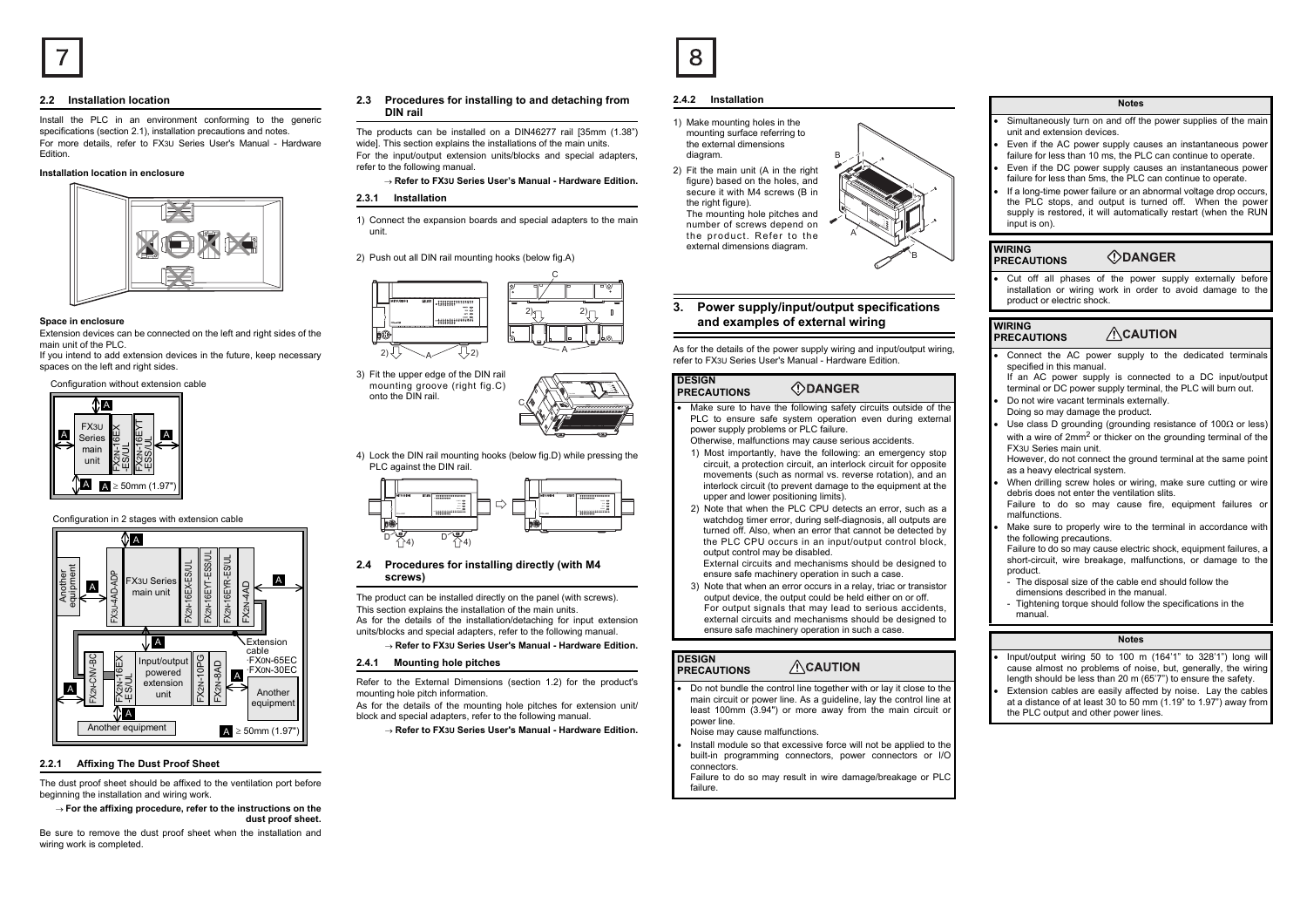## **2.2 Installation location**

Install the PLC in an environment conforming to the generic specifications (section 2.1), installation precautions and notes. For more details, refer to FX3U Series User's Manual - Hardware Edition.

## **Installation location in enclosure**



## **Space in enclosure**

Extension devices can be connected on the left and right sides of the main unit of the PLC.

 If you intend to add extension devices in the future, keep necessary spaces on the left and right sides.

Configuration without extension cable



Configuration in 2 stages with extension cable



## **2.2.1 Affixing The Dust Proof Sheet**

The dust proof sheet should be affixed to the ventilation port before beginning the installation and wiring work.

→ **For the affixing procedure, refer to the instructions on the dust proof sheet.**

Be sure to remove the dust proof sheet when the installation and wiring work is completed.

## **2.3 Procedures for installing to and detaching from DIN rail**

The products can be installed on a DIN46277 rail [35mm (1.38") widel. This section explains the installations of the main units. For the input/output extension units/blocks and special adapters, refer to the following manual.

## → **Refer to FX3U Series User's Manual - Hardware Edition.**

## **2.3.1 Installation**

1) Connect the expansion boards and special adapters to the main unit.

## 2) Push out all DIN rail mounting hooks (below fig.A)





4) Lock the DIN rail mounting hooks (below fig.D) while pressing the PLC against the DIN rail.



## **2.4 Procedures for installing directly (with M4 screws)**

The product can be installed directly on the panel (with screws). This section explains the installation of the main units. As for the details of the installation/detaching for input extension units/blocks and special adapters, refer to the following manual.

→ **Refer to FX3U Series User's Manual - Hardware Edition.**

## **2.4.1 Mounting hole pitches**

Refer to the External Dimensions (section 1.2) for the product's mounting hole pitch information.

As for the details of the mounting hole pitches for extension unit/ block and special adapters, refer to the following manual.

→ **Refer to FX3U Series User's Manual - Hardware Edition.**

## **2.4.2 Installation**

- 1) Make mounting holes in the mounting surface referring to the external dimensions diagram.
- 2) Fit the main unit (A in the right figure) based on the holes, and secure it with M4 screws (B in the right figure). The mounting hole pitches and number of screws depend on the product. Refer to the external dimensions diagram.

## **3. Power supply/input/output specifications and examples of external wiring**

 $5.$  <sup>12</sup> IN  $^{\circ}$ 22 11 14  $^{\circ}$  <sup>2223</sup> <sup>26</sup>3. A

As for the details of the power supply wiring and input/output wiring. refer to FX3U Series User's Manual - Hardware Edition.

#### **DESIGN ODANGER PRECAUTIONS**

- • Make sure to have the following safety circuits outside of the PLC to ensure safe system operation even during external power supply problems or PLC failure.
- Otherwise, malfunctions may cause serious accidents. 1) Most importantly, have the following: an emergency stop
- circuit, a protection circuit, an interlock circuit for opposite movements (such as normal vs. reverse rotation), and an interlock circuit (to prevent damage to the equipment at the upper and lower positioning limits).
- 2) Note that when the PLC CPU detects an error, such as a watchdog timer error, during self-diagnosis, all outputs are turned off. Also, when an error that cannot be detected by the PLC CPU occurs in an input/output control block, output control may be disabled.

External circuits and mechanisms should be designed to ensure safe machinery operation in such a case.

3) Note that when an error occurs in a relay, triac or transistor output device, the output could be held either on or off. For output signals that may lead to serious accidents, external circuits and mechanisms should be designed to ensure safe machinery operation in such a case.

#### **DESIGN**  $\Lambda$ CAUTION **PRECAUTIONS**

- • Do not bundle the control line together with or lay it close to the main circuit or power line. As a guideline, lay the control line at least 100mm (3.94") or more away from the main circuit or power line.
	- Noise may cause malfunctions.
- • Install module so that excessive force will not be applied to the built-in programming connectors, power connectors or I/O connectors.
- Failure to do so may result in wire damage/breakage or PLC failure.

## **Notes**

- • Simultaneously turn on and off the power supplies of the main unit and extension devices.
- • Even if the AC power supply causes an instantaneous power failure for less than 10 ms, the PLC can continue to operate.
- • Even if the DC power supply causes an instantaneous power failure for less than 5ms, the PLC can continue to operate.
- • If a long-time power failure or an abnormal voltage drop occurs, the PLC stops, and output is turned off. When the power supply is restored, it will automatically restart (when the RUN input is on).

#### **WIRING** *<u>ODANGER</u>* **PRECAUTIONS**

• Cut off all phases of the power supply externally before installation or wiring work in order to avoid damage to the product or electric shock.

#### **WIRING ACAUTION PRECAUTIONS**

- • Connect the AC power supply to the dedicated terminals specified in this manual
- If an AC power supply is connected to a DC input/output terminal or DC power supply terminal, the PLC will burn out. Do not wire vacant terminals externally.
- Doing so may damage the product.
- 

•

•

- • Use class D grounding (grounding resistance of 100Ω or less) with a wire of 2mm<sup>2</sup> or thicker on the grounding terminal of the FX3U Series main unit.
- However, do not connect the ground terminal at the same point as a heavy electrical system.
- • When drilling screw holes or wiring, make sure cutting or wire debris does not enter the ventilation slits.
- Failure to do so may cause fire, equipment failures or malfunctions.
- • Make sure to properly wire to the terminal in accordance with the following precautions.

Failure to do so may cause electric shock, equipment failures, a short-circuit, wire breakage, malfunctions, or damage to the product.

- The disposal size of the cable end should follow the dimensions described in the manual.
- Tightening torque should follow the specifications in the manual.

# **Notes**

- Input/output wiring 50 to 100 m (164'1" to 328'1") long will cause almost no problems of noise, but, generally, the wiring length should be less than 20 m (65'7") to ensure the safety.
- • Extension cables are easily affected by noise. Lay the cables at a distance of at least 30 to 50 mm (1.19" to 1.97") away from the PLC output and other power lines.

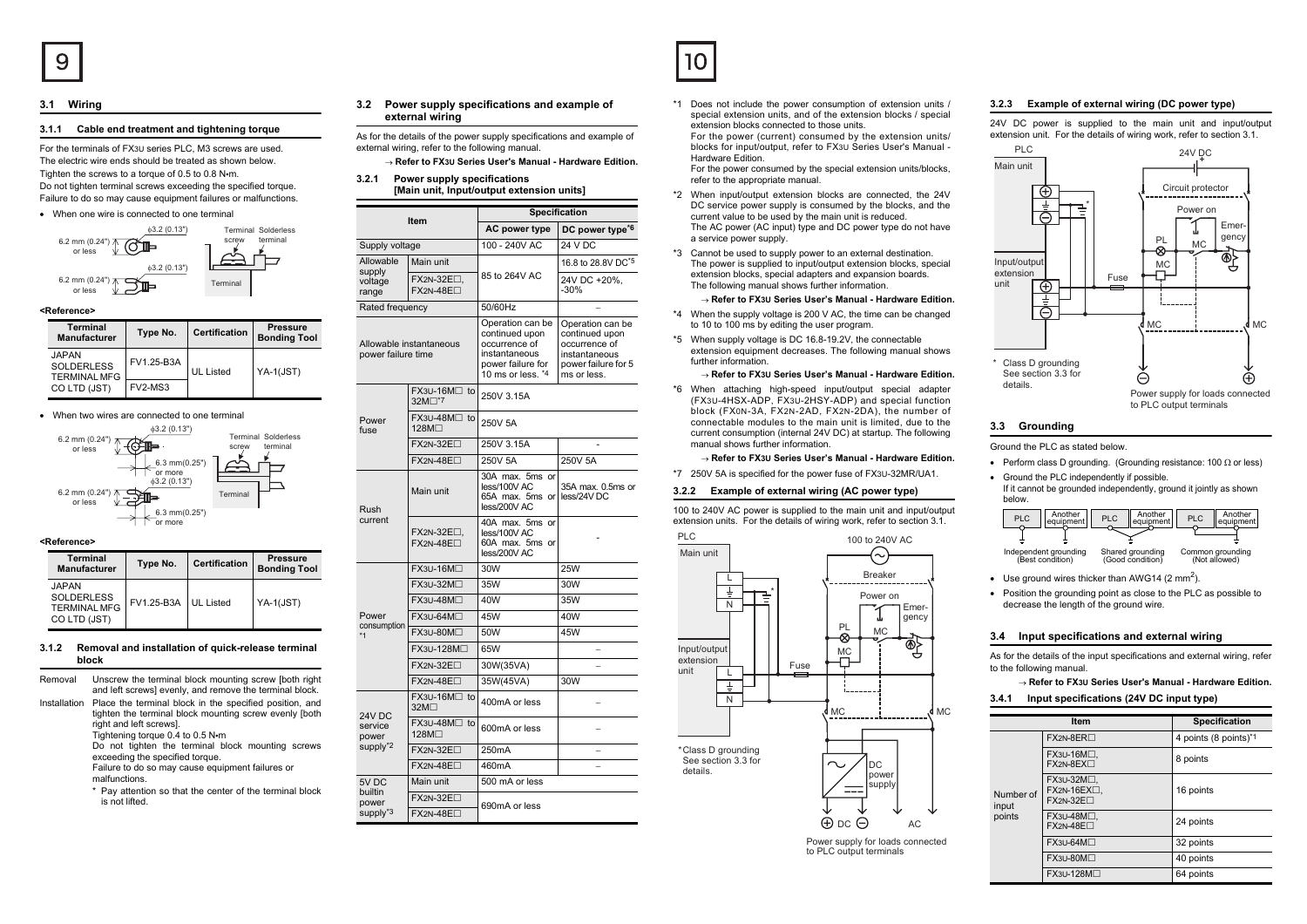## **3.1 Wiring**

## **3.1.1 Cable end treatment and tightening torque**

For the terminals of FX3U series PLC, M3 screws are used. The electric wire ends should be treated as shown below.Tighten the screws to a torque of 0.5 to 0.8 N•m. Do not tighten terminal screws exceeding the specified torque. Failure to do so may cause equipment failures or malfunctions.

#### • When one wire is connected to one terminal



### **<Reference>**

| Terminal<br><b>Manufacturer</b>                          | Type No.   | <b>Certification</b> | <b>Pressure</b><br><b>Bonding Tool</b> |
|----------------------------------------------------------|------------|----------------------|----------------------------------------|
| <b>JAPAN</b><br><b>SOLDERLESS</b><br><b>TERMINAL MFG</b> | FV1.25-B3A | <b>UL Listed</b>     | YA-1(JST)                              |
| CO LTD (JST)                                             | FV2-MS3    |                      |                                        |

#### • When two wires are connected to one terminal



#### **<Reference>**

| <b>Terminal</b><br><b>Manufacturer</b>                                   | Type No.   | <b>Certification</b> | <b>Pressure</b><br><b>Bonding Tool</b> |
|--------------------------------------------------------------------------|------------|----------------------|----------------------------------------|
| <b>JAPAN</b><br><b>SOLDERLESS</b><br><b>TERMINAL MFG</b><br>CO LTD (JST) | FV1.25-B3A | UL Listed            | $YA-1(JST)$                            |

## **3.1.2 Removal and installation of quick-release terminal block**

- Removal Unscrew the terminal block mounting screw [both right] and left screws] evenly, and remove the terminal block. Installation Place the terminal block in the specified position, and
- tighten the terminal block mounting screw evenly [both right and left screws]. Tightening torque 0.4 to 0.5 N•<sup>m</sup> Do not tighten the terminal block mounting screws exceeding the specified torque. Failure to do so may cause equipment failures or malfunctions.
	- \* Pay attention so that the center of the terminal block is not lifted.

## **3.2 Power supply specifications and example of external wiring**

- As for the details of the power supply specifications and example of external wiring, refer to the following manual.
- → **Refer to FX3U Series User's Manual Hardware Edition.**
- **3.2.1 Power supply specifications [Main unit, Input/output extension units]**

| Item                                                                                    |                                     | <b>Specification</b>                                                                                           |                                                                                                            |  |
|-----------------------------------------------------------------------------------------|-------------------------------------|----------------------------------------------------------------------------------------------------------------|------------------------------------------------------------------------------------------------------------|--|
|                                                                                         |                                     | AC power type                                                                                                  | DC power type <sup>*6</sup>                                                                                |  |
| Supply voltage                                                                          |                                     | 100 - 240V AC                                                                                                  | 24 V DC                                                                                                    |  |
| Allowable                                                                               | Main unit                           |                                                                                                                | 16.8 to 28.8V DC <sup>*5</sup>                                                                             |  |
| supply<br>85 to 264V AC<br>FX2N-32E <sub>[1</sub><br>voltage<br>$FX2N-48E\Box$<br>range |                                     |                                                                                                                | 24V DC +20%,<br>$-30%$                                                                                     |  |
| Rated frequency                                                                         |                                     | 50/60Hz                                                                                                        |                                                                                                            |  |
| Allowable instantaneous<br>power failure time                                           |                                     | Operation can be<br>continued upon<br>occurrence of<br>instantaneous<br>power failure for<br>10 ms or less. *4 | Operation can be<br>continued upon<br>occurrence of<br>instantaneous<br>power failure for 5<br>ms or less. |  |
|                                                                                         | FX3U-16M□ to<br>32M <sup>-7</sup> 7 | 250V 3.15A                                                                                                     |                                                                                                            |  |
| Power<br>fuse                                                                           | FX3U-48M□ to<br>128M <sup>∩</sup>   | 250V 5A                                                                                                        |                                                                                                            |  |
|                                                                                         | $FX2N-32E\Box$                      | 250V 3.15A                                                                                                     |                                                                                                            |  |
|                                                                                         | $FX2N-48E\Box$                      | 250V 5A                                                                                                        | 250V 5A                                                                                                    |  |
| Rush                                                                                    | Main unit                           | 30A max. 5ms or<br>less/100V AC<br>65A max. 5ms or<br>less/200V AC                                             | 35A max. 0.5ms or<br>less/24V DC                                                                           |  |
| current                                                                                 | FX2N-32E□,<br>$FX2N-48E\Box$        | 40A max. 5ms or<br>less/100V AC<br>60A max. 5ms or<br>less/200V AC                                             |                                                                                                            |  |
|                                                                                         | FX3U-16M□                           | 30W                                                                                                            | 25W                                                                                                        |  |
|                                                                                         | <b>FX3U-32M</b> □                   | 35W                                                                                                            | 30W                                                                                                        |  |
|                                                                                         | FX3U-48M□                           | 40W                                                                                                            | 35W                                                                                                        |  |
| Power                                                                                   | $FX3U-64M\square$                   | 45W                                                                                                            | 40W                                                                                                        |  |
| consumption<br>*1                                                                       | FX3U-80M <sub>D</sub>               | 50W                                                                                                            | 45W                                                                                                        |  |
|                                                                                         | FX3U-128M□                          | 65W                                                                                                            |                                                                                                            |  |
|                                                                                         | FX2N-32E□                           | 30W(35VA)                                                                                                      |                                                                                                            |  |
|                                                                                         | $FX2N-48E\Box$                      | 35W(45VA)                                                                                                      | 30W                                                                                                        |  |
| 24V DC                                                                                  | FX3U-16M□ to<br>32M <sub>D</sub>    | 400mA or less                                                                                                  |                                                                                                            |  |
| service<br>power<br>supply <sup>*2</sup>                                                | FX3U-48M <sup>∩</sup> to<br>128M□   | 600mA or less                                                                                                  |                                                                                                            |  |
|                                                                                         | $FX2N-32E\Box$                      | 250 <sub>m</sub> A                                                                                             | $\overline{\phantom{0}}$                                                                                   |  |
|                                                                                         | $FX2N-48E$                          | 460mA                                                                                                          |                                                                                                            |  |
| 5V DC                                                                                   | Main unit                           | 500 mA or less                                                                                                 |                                                                                                            |  |
| builtin<br>power                                                                        | FX2N-32E□                           | 690mA or less                                                                                                  |                                                                                                            |  |
| supply <sup>*3</sup>                                                                    | $FX2N-48E$                          |                                                                                                                |                                                                                                            |  |



\*1 Does not include the power consumption of extension units / special extension units, and of the extension blocks / special extension blocks connected to those units. For the power (current) consumed by the extension units/ blocks for input/output, refer to FX3U Series User's Manual - Hardware Edition.

 For the power consumed by the special extension units/blocks, refer to the appropriate manual.

\*2 When input/output extension blocks are connected, the 24V DC service power supply is consumed by the blocks, and the current value to be used by the main unit is reduced. The AC power (AC input) type and DC power type do not have a service power supply.

\*3 Cannot be used to supply power to an external destination. The power is supplied to input/output extension blocks, special extension blocks, special adapters and expansion boards. The following manual shows further information.

#### → **Refer to FX3U Series User's Manual - Hardware Edition.**

- \*4 When the supply voltage is 200 V AC, the time can be changed to 10 to 100 ms by editing the user program.
- \*5 When supply voltage is DC 16.8-19.2V, the connectable extension equipment decreases. The following manual shows further information.

#### → **Refer to FX3U Series User's Manual - Hardware Edition.**

\*6 When attaching high-speed input/output special adapter (FX3U-4HSX-ADP, FX3U-2HSY-ADP) and special function block (FX0N-3A, FX2N-2AD, FX2N-2DA), the number of connectable modules to the main unit is limited, due to the current consumption (internal 24V DC) at startup. The following manual shows further information.

#### → **Refer to FX3U Series User's Manual - Hardware Edition.**

\*7 250V 5A is specified for the power fuse of FX3U-32MR/UA1.

#### **3.2.2 Example of external wiring (AC power type)**

100 to 240V AC power is supplied to the main unit and input/output extension units. For the details of wiring work, refer to section 3.1.



Power supply for loads connected to PLC output terminals

MC

## **3.2.3 Example of external wiring (DC power type)**

24V DC power is supplied to the main unit and input/output extension unit. For the details of wiring work, refer to section 3.1.



# **3.3 Grounding**

Ground the PLC as stated below.

- Perform class D grounding. (Grounding resistance: 100 Ω or less)
- Ground the PLC independently if possible. If it cannot be grounded independently, ground it jointly as shown below.

| <b>PLC</b> | Another<br>equipment                      | <b>PLC</b> | Another<br>equipment                 | <b>PLC</b> | Another<br>equipment              |
|------------|-------------------------------------------|------------|--------------------------------------|------------|-----------------------------------|
|            |                                           |            |                                      |            |                                   |
|            | Independent grounding<br>(Best condition) |            | Shared grounding<br>(Good condition) |            | Common grounding<br>(Not allowed) |

- Use ground wires thicker than AWG14 (2 mm<sup>2</sup>).
- Position the grounding point as close to the PLC as possible to decrease the length of the ground wire.

#### **3.4 Input specifications and external wiring**

As for the details of the input specifications and external wiring, refer to the following manual.

# → **Refer to FX3U Series User's Manual - Hardware Edition.**

## **3.4.1 Input specifications (24V DC input type)**

|                    | Item                                                 | <b>Specification</b>              |
|--------------------|------------------------------------------------------|-----------------------------------|
|                    | $FX2N-8ER$                                           | 4 points (8 points) <sup>*1</sup> |
|                    | FX3U-16M□.<br>$FX2N-8EX \square$                     | 8 points                          |
| Number of<br>input | FX3U-32M□.<br>$FX2N-16EX\square$ .<br>$FX2N-32E\Box$ | 16 points                         |
| points             | FX3U-48M□.<br>$FX2N-48E\Box$                         | 24 points                         |
|                    | FX3U-64M□                                            | 32 points                         |
|                    | FX3U-80M□                                            | 40 points                         |
|                    | FX3∪-128M□                                           | 64 points                         |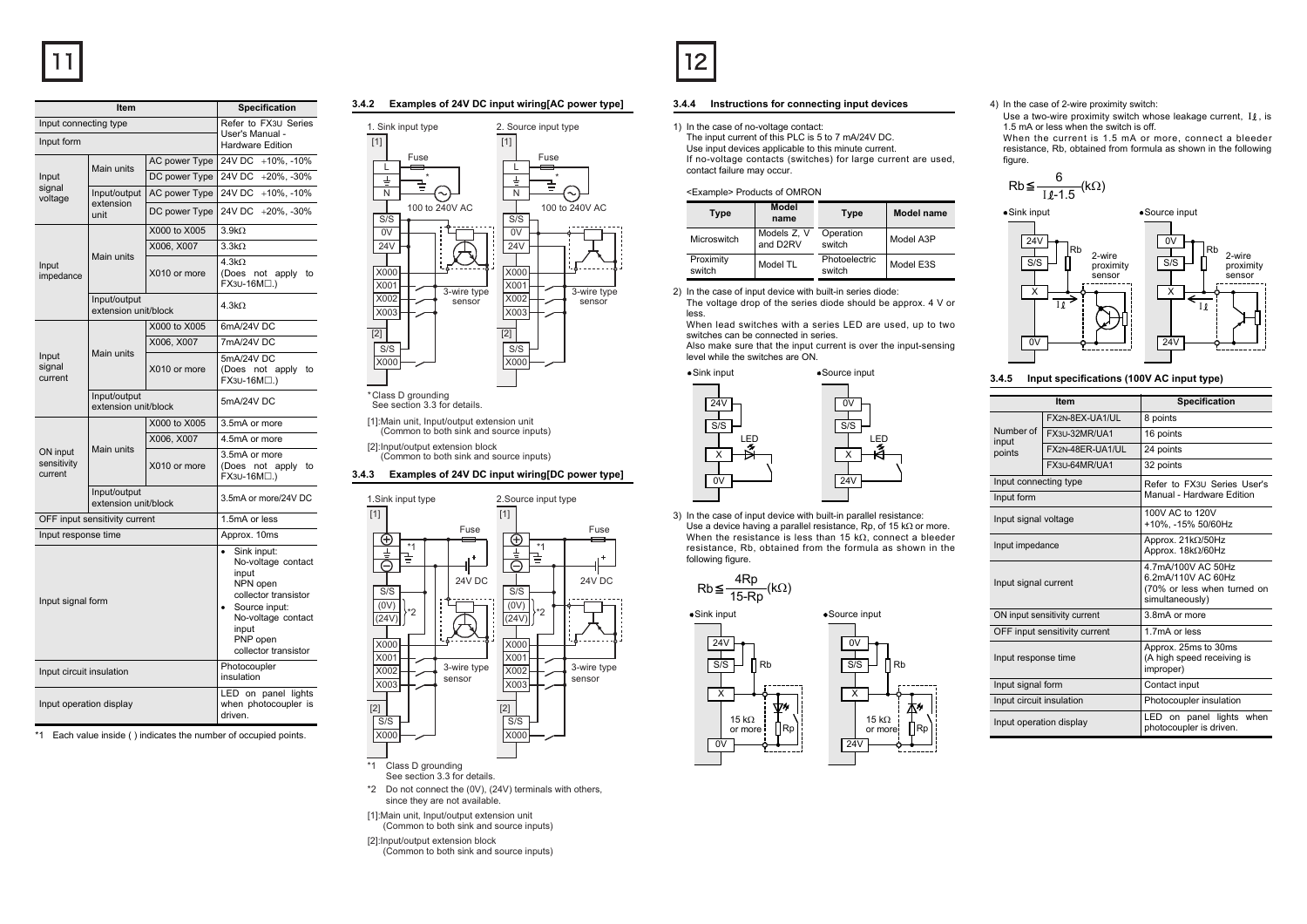| ltem                               |                                      | Specification                                                                                                                                                           |                                                          |
|------------------------------------|--------------------------------------|-------------------------------------------------------------------------------------------------------------------------------------------------------------------------|----------------------------------------------------------|
| Input connecting type              |                                      | Refer to FX3U Series                                                                                                                                                    |                                                          |
| Input form                         |                                      | User's Manual -<br><b>Hardware Edition</b>                                                                                                                              |                                                          |
| Main units                         |                                      | AC power Type                                                                                                                                                           | 24V DC +10%, -10%                                        |
| Input                              |                                      | DC power Type                                                                                                                                                           | <b>24V DC</b><br>$+20\%$ , $-30\%$                       |
| signal<br>voltage                  | Input/output                         | AC power Type                                                                                                                                                           | 24V DC<br>$+10\%$ , $-10\%$                              |
|                                    | extension<br>unit                    | DC power Type                                                                                                                                                           | 24V DC +20%, -30%                                        |
|                                    |                                      | X000 to X005                                                                                                                                                            | $3.9k\Omega$                                             |
|                                    |                                      | X006, X007                                                                                                                                                              | $3.3k\Omega$                                             |
| Input<br>impedance                 | Main units                           | X010 or more                                                                                                                                                            | $4.3k\Omega$<br>(Does<br>not apply<br>to<br>FX3U-16M□.)  |
|                                    | Input/output<br>extension unit/block |                                                                                                                                                                         | 4.3k <sub>2</sub>                                        |
|                                    |                                      | X000 to X005                                                                                                                                                            | 6mA/24V DC                                               |
|                                    |                                      | X006, X007                                                                                                                                                              | 7mA/24V DC                                               |
| Input<br>signal<br>current         | Main units                           | X010 or more                                                                                                                                                            | 5mA/24V DC<br>(Does not apply<br>to<br>FX3U-16M□.)       |
|                                    | Input/output<br>extension unit/block |                                                                                                                                                                         | 5mA/24V DC                                               |
|                                    |                                      | X000 to X005                                                                                                                                                            | 3.5mA or more                                            |
|                                    |                                      | X006, X007                                                                                                                                                              | 4.5mA or more                                            |
| ON input<br>sensitivity<br>current | Main units                           | X010 or more                                                                                                                                                            | 3.5mA or more<br>apply<br>(Does not<br>to<br>FX3U-16M□.) |
|                                    | Input/output<br>extension unit/block |                                                                                                                                                                         | 3.5mA or more/24V DC                                     |
|                                    | OFF input sensitivity current        |                                                                                                                                                                         | 1.5mA or less                                            |
| Input response time                |                                      |                                                                                                                                                                         | Approx. 10ms                                             |
| Input signal form                  |                                      | Sink input:<br>۰<br>No-voltage contact<br>input<br>NPN open<br>collector transistor<br>Source input:<br>No-voltage contact<br>input<br>PNP open<br>collector transistor |                                                          |
| Input circuit insulation           |                                      | Photocoupler<br>insulation                                                                                                                                              |                                                          |
| Input operation display            |                                      | LED on panel lights<br>when photocoupler is<br>driven.                                                                                                                  |                                                          |

\*1 Each value inside ( ) indicates the number of occupied points.

## **3.4.2 Examples of 24V DC input wiring[AC power type]**



\*Class D grounding See section 3.3 for details.

[1]:Main unit, Input/output extension unit (Common to both sink and source inputs)

[2]:Input/output extension block (Common to both sink and source inputs)

## **3.4.3 Examples of 24V DC input wiring[DC power type]**



- \*2 Do not connect the (0V), (24V) terminals with others, since they are not available.
- [1]:Main unit, Input/output extension unit
- [2]:Input/output extension block (Common to both sink and source inputs)
	- (Common to both sink and source inputs)



## **3.4.4 Instructions for connecting input devices**

1) In the case of no-voltage contact:

The input current of this PLC is 5 to 7 mA/24V DC. Use input devices applicable to this minute current. If no-voltage contacts (switches) for large current are used, contact failure may occur.

### <Example> Products of OMRON

| Type                | Model<br>name           | Type                    | <b>Model name</b> |
|---------------------|-------------------------|-------------------------|-------------------|
| Microswitch         | Models Z, V<br>and D2RV | Operation<br>switch     | Model A3P         |
| Proximity<br>switch | Model TL                | Photoelectric<br>switch | Model E3S         |

2) In the case of input device with built-in series diode: The voltage drop of the series diode should be approx. 4 V or less.

 When lead switches with a series LED are used, up to two switches can be connected in series.

Also make sure that the input current is over the input-sensing level while the switches are ON.



3) In the case of input device with built-in parallel resistance: Use a device having a parallel resistance, Rp, of 15 k $\Omega$  or more. When the resistance is less than 15 k $\Omega$ , connect a bleeder resistance, Rb, obtained from the formula as shown in the following figure.



0V



### 4) In the case of 2-wire proximity switch:

Use a two-wire proximity switch whose leakage current,  $\,$  I $\ell$  , is 1.5 mA or less when the switch is off. When the current is 1.5 mA or more, connect a bleeder resistance, Rb, obtained from formula as shown in the following

figure.

$$
\mathsf{Rb} \leq \frac{6}{\mathsf{I} \ell \cdot 1.5} (\mathsf{k} \Omega)
$$



# **3.4.5 Input specifications (100V AC input type)**

| <b>Item</b>                  |                               | Specification                                                                              |  |
|------------------------------|-------------------------------|--------------------------------------------------------------------------------------------|--|
|                              | FX2N-8EX-UA1/UL               | 8 points                                                                                   |  |
| Number of<br>input           | FX3U-32MR/UA1                 | 16 points                                                                                  |  |
| points                       | FX2N-48FR-UA1/UL              | 24 points                                                                                  |  |
|                              | FX3U-64MR/UA1                 | 32 points                                                                                  |  |
| Input connecting type        |                               | Refer to FX3U Series User's                                                                |  |
| Input form                   |                               | Manual - Hardware Edition                                                                  |  |
| Input signal voltage         |                               | 100V AC to 120V<br>+10%. -15% 50/60Hz                                                      |  |
| Input impedance              |                               | Approx. 21kΩ/50Hz<br>Approx. 18kΩ/60Hz                                                     |  |
| Input signal current         |                               | 4.7mA/100V AC 50Hz<br>6.2mA/110V AC 60Hz<br>(70% or less when turned on<br>simultaneously) |  |
| ON input sensitivity current |                               | 3.8mA or more                                                                              |  |
|                              | OFF input sensitivity current | 1.7mA or less                                                                              |  |
| Input response time          |                               | Approx. 25ms to 30ms<br>(A high speed receiving is<br>improper)                            |  |
| Input signal form            |                               | Contact input                                                                              |  |
| Input circuit insulation     |                               | Photocoupler insulation                                                                    |  |
| Input operation display      |                               | panel lights when<br>LED on<br>photocoupler is driven.                                     |  |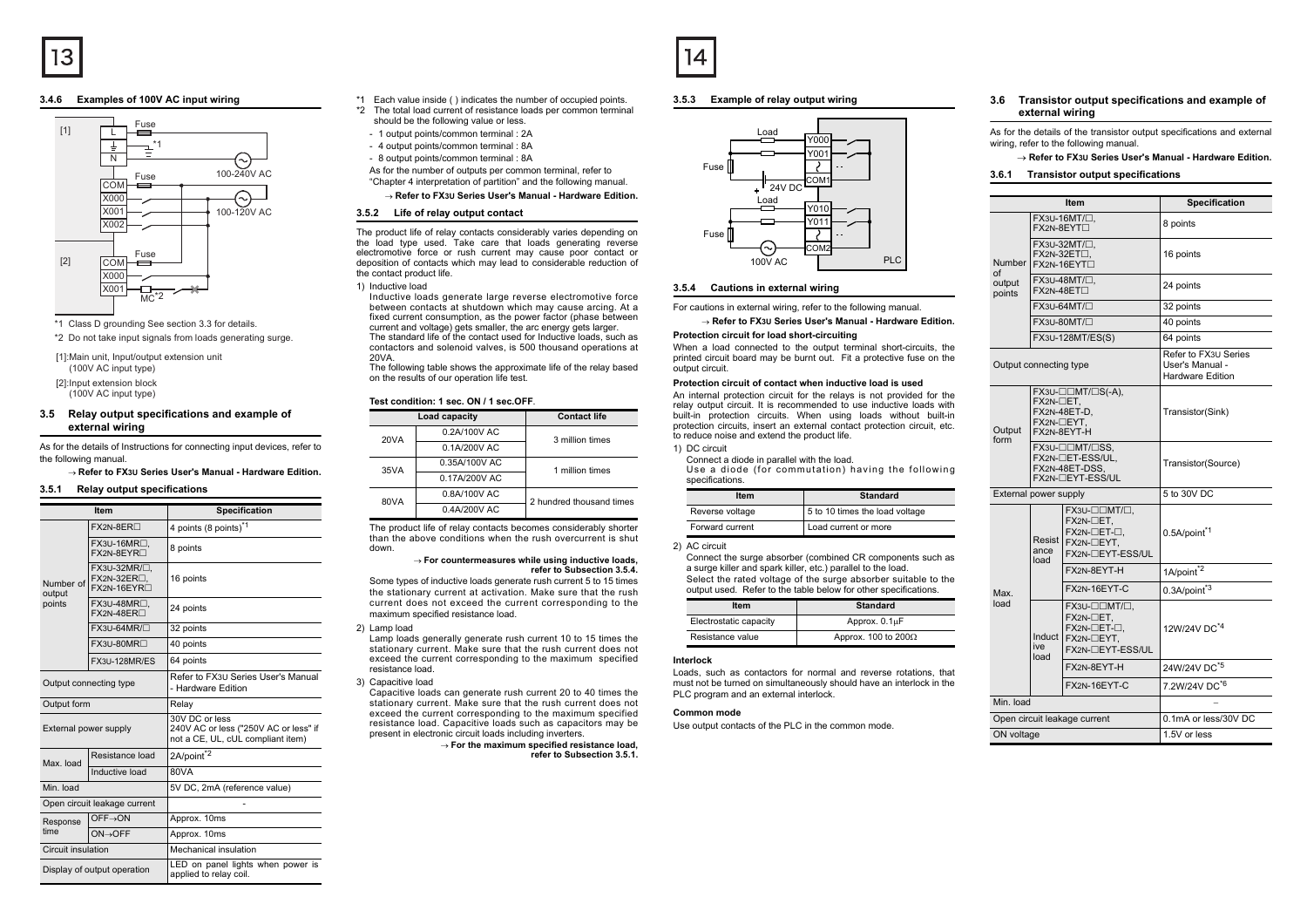## **3.4.6 Examples of 100V AC input wiring**



\*1 Class D grounding See section 3.3 for details.

\*2 Do not take input signals from loads generating surge.

[1]:Main unit, Input/output extension unit (100V AC input type)

[2]:Input extension block

(100V AC input type)

## **3.5 Relay output specifications and example of external wiring**

As for the details of Instructions for connecting input devices, refer to the following manual.

→ **Refer to FX3U Series User's Manual - Hardware Edition.**

#### **3.5.1 Relay output specifications**

| Item                         |                                                                                   | <b>Specification</b>                                                                         |
|------------------------------|-----------------------------------------------------------------------------------|----------------------------------------------------------------------------------------------|
|                              | FX2N-8ER <sub>D</sub>                                                             | 4 points (8 points) <sup>*1</sup>                                                            |
| Number of<br>output          | FX3U-16MR <sup>[1</sup> ,<br>FX2N-8EYR <sub>[1</sub>                              | 8 points                                                                                     |
|                              | FX3U-32MR/ <sup>[1]</sup> .<br>FX2N-32ER <sub>L</sub><br>FX2N-16EYR <sub>[1</sub> | 16 points                                                                                    |
| points                       | FX3U-48MR <sub>[1</sub><br>FX2N-48ER <sub>D</sub>                                 | 24 points                                                                                    |
|                              | $FX3U-64MR/\Box$                                                                  | 32 points                                                                                    |
|                              | FX3U-80MR <sup>T</sup>                                                            | 40 points                                                                                    |
|                              | FX3U-128MR/ES                                                                     | 64 points                                                                                    |
| Output connecting type       |                                                                                   | Refer to FX3U Series User's Manual<br>- Hardware Edition                                     |
| Output form                  |                                                                                   | Relay                                                                                        |
| External power supply        |                                                                                   | 30V DC or less<br>240V AC or less ("250V AC or less" if<br>not a CE, UL, cUL compliant item) |
| Max. load                    | Resistance load                                                                   | 2A/point <sup>*2</sup>                                                                       |
|                              | Inductive load                                                                    | 80VA                                                                                         |
| Min. load                    |                                                                                   | 5V DC, 2mA (reference value)                                                                 |
| Open circuit leakage current |                                                                                   |                                                                                              |
| Response                     | OFF→ON                                                                            | Approx. 10ms                                                                                 |
| time                         | $ON \rightarrow$ OFF                                                              | Approx. 10ms                                                                                 |
| Circuit insulation           |                                                                                   | Mechanical insulation                                                                        |
| Display of output operation  |                                                                                   | LED on panel lights when power is<br>applied to relay coil.                                  |

\*1 Each value inside ( ) indicates the number of occupied points.

- \*2 The total load current of resistance loads per common terminal should be the following value or less.
	- 1 output points/common terminal : 2A
	- 4 output points/common terminal : 8A
	- 8 output points/common terminal : 8A

As for the number of outputs per common terminal, refer to "Chapter 4 interpretation of partition" and the following manual.

→ **Refer to FX3U Series User's Manual - Hardware Edition.**

### **3.5.2 Life of relay output contact**

The product life of relay contacts considerably varies depending on the load type used. Take care that loads generating reverse electromotive force or rush current may cause poor contact or deposition of contacts which may lead to considerable reduction of the contact product life.

1) Inductive load

Inductive loads generate large reverse electromotive force between contacts at shutdown which may cause arcing. At a fixed current consumption, as the power factor (phase between current and voltage) gets smaller, the arc energy gets larger.

The standard life of the contact used for Inductive loads, such as contactors and solenoid valves, is 500 thousand operations at 20VA.

 The following table shows the approximate life of the relay based on the results of our operation life test.

### **Test condition: 1 sec. ON / 1 sec.OFF**.

|                      | Load capacity  | <b>Contact life</b>      |
|----------------------|----------------|--------------------------|
| 0.2A/100V AC<br>20VA |                | 3 million times          |
|                      | $0.1A/200V$ AC |                          |
| 35VA                 | 0.35A/100V AC  | 1 million times          |
|                      | 0.17A/200V AC  |                          |
| 80VA                 | 0.8A/100V AC   | 2 hundred thousand times |
|                      | 0.4A/200V AC   |                          |

The product life of relay contacts becomes considerably shorter than the above conditions when the rush overcurrent is shutdown.

#### → **For countermeasures while using inductive loads, refer to Subsection 3.5.4.**

 Some types of inductive loads generate rush current 5 to 15 times the stationary current at activation. Make sure that the rush current does not exceed the current corresponding to the maximum specified resistance load.

2) Lamp load

Lamp loads generally generate rush current 10 to 15 times the stationary current. Make sure that the rush current does not exceed the current corresponding to the maximum specified resistance load.

3) Capacitive load

Capacitive loads can generate rush current 20 to 40 times the stationary current. Make sure that the rush current does not exceed the current corresponding to the maximum specified resistance load. Capacitive loads such as capacitors may be present in electronic circuit loads including inverters.

> → **For the maximum specified resistance load, refer to Subsection 3.5.1.**

## **3.5.3 Example of relay output wiring**



### **3.5.4 Cautions in external wiring**

For cautions in external wiring, refer to the following manual.

→ **Refer to FX3U Series User's Manual - Hardware Edition.**

#### **Protection circuit for load short-circuiting**

When a load connected to the output terminal short-circuits, the printed circuit board may be burnt out. Fit a protective fuse on the output circuit.

## **Protection circuit of contact when inductive load is used**

An internal protection circuit for the relays is not provided for the relay output circuit. It is recommended to use inductive loads with built-in protection circuits. When using loads without built-in protection circuits, insert an external contact protection circuit, etc. to reduce noise and extend the product life.

## 1) DC circuit

Connect a diode in parallel with the load. Use a diode (for commutation) having the following specifications.

| Item            | <b>Standard</b>                |
|-----------------|--------------------------------|
| Reverse voltage | 5 to 10 times the load voltage |
| Forward current | Load current or more           |

<sup>2)</sup> AC circuit

Connect the surge absorber (combined CR components such as a surge killer and spark killer, etc.) parallel to the load. Select the rated voltage of the surge absorber suitable to the output used. Refer to the table below for other specifications.

| ltem                   | Standard                    |
|------------------------|-----------------------------|
| Electrostatic capacity | Approx. 0.1µF               |
| Resistance value       | Approx. 100 to 200 $\Omega$ |

## **Interlock**

 Loads, such as contactors for normal and reverse rotations, that must not be turned on simultaneously should have an interlock in the PLC program and an external interlock.

#### **Common mode**

Use output contacts of the PLC in the common mode.

#### **3.6 Transistor output specifications and example of external wiring**

As for the details of the transistor output specifications and external wiring, refer to the following manual.

### → **Refer to FX3U Series User's Manual - Hardware Edition.**

#### **3.6.1 Transistor output specifications**

| Item                                      |                                                                          |                                                                            | <b>Specification</b>                                               |
|-------------------------------------------|--------------------------------------------------------------------------|----------------------------------------------------------------------------|--------------------------------------------------------------------|
| FX3U-16MT/ $\Box$ .<br><b>FX2N-8EYT</b> □ |                                                                          |                                                                            | 8 points                                                           |
| Number                                    | FX3U-32MT/□.<br>$FX2N-32ET\square$<br>FX2N-16EYT <sub>D</sub>            |                                                                            | 16 points                                                          |
| of<br>output<br>points                    | FX2N-48ET <sub>D</sub>                                                   | FX3U-48MT/□,                                                               | 24 points                                                          |
|                                           |                                                                          | $FX3U-64MT/\square$                                                        | 32 points                                                          |
|                                           |                                                                          | FX3U-80MT/ $\Box$                                                          | 40 points                                                          |
|                                           |                                                                          | FX3U-128MT/ES(S)                                                           | 64 points                                                          |
|                                           | Output connecting type                                                   |                                                                            | Refer to FX3U Series<br>User's Manual -<br><b>Hardware Edition</b> |
| Output                                    | FX2N-□ET.<br>FX2N-48ET-D.<br>FX2N-□EYT.<br>FX2N-8EYT-H                   |                                                                            | Transistor(Sink)                                                   |
| form                                      | FX3U-COMT/CSS,<br>FX2N-CET-ESS/UL.<br>FX2N-48ET-DSS.<br>FX2N-□EYT-ESS/UL |                                                                            | Transistor(Source)                                                 |
| External power supply                     |                                                                          |                                                                            | 5 to 30V DC                                                        |
|                                           | <b>Resist</b><br>ance<br>load                                            | FX3U-OOMT/O.<br>FX2N-CET.<br>FX2N-□ET-□,<br>FX2N-□EYT,<br>FX2N-TEYT-ESS/UL | 0.5A/point <sup>*1</sup>                                           |
|                                           |                                                                          | FX2N-8EYT-H                                                                | 1A/point <sup>*2</sup>                                             |
| Max.                                      |                                                                          | FX2N-16EYT-C                                                               | 0.3A/point <sup>*3</sup>                                           |
| load                                      | Induct<br>ive<br>load                                                    | FX3U-OOMT/O,<br>FX2N-CET,<br>FX2N-□ET-□,<br>FX2N-□EYT.<br>FX2N-TEYT-ESS/UL | 12W/24V DC <sup>*4</sup>                                           |
|                                           |                                                                          | FX2N-8EYT-H                                                                | 24W/24V DC <sup>*5</sup>                                           |
|                                           |                                                                          | FX2N-16EYT-C                                                               | 7.2W/24V DC <sup>*6</sup>                                          |
| Min. load                                 |                                                                          |                                                                            |                                                                    |
| Open circuit leakage current              |                                                                          |                                                                            | 0.1mA or less/30V DC                                               |
| ON voltage                                |                                                                          |                                                                            | 1.5V or less                                                       |